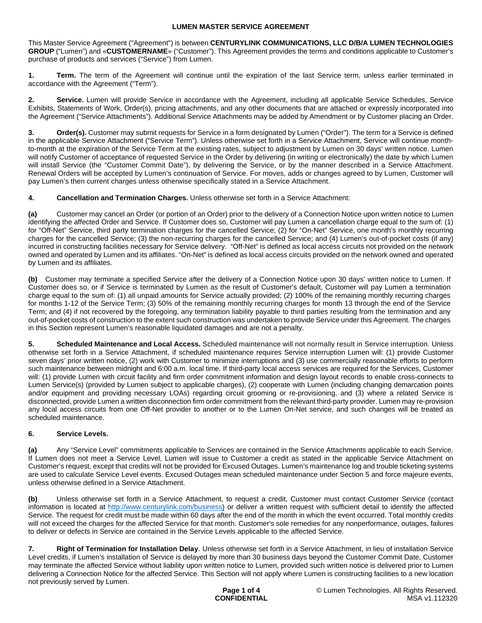This Master Service Agreement ("Agreement") is between **CENTURYLINK COMMUNICATIONS, LLC D/B/A LUMEN TECHNOLOGIES GROUP** ("Lumen") and «**CUSTOMERNAME**» ("Customer"). This Agreement provides the terms and conditions applicable to Customer's purchase of products and services ("Service") from Lumen.

**1. Term.** The term of the Agreement will continue until the expiration of the last Service term, unless earlier terminated in accordance with the Agreement ("Term").

**2. Service.** Lumen will provide Service in accordance with the Agreement, including all applicable Service Schedules, Service Exhibits, Statements of Work, Order(s), pricing attachments, and any other documents that are attached or expressly incorporated into the Agreement ("Service Attachments"). Additional Service Attachments may be added by Amendment or by Customer placing an Order.

**Order(s).** Customer may submit requests for Service in a form designated by Lumen ("Order"). The term for a Service is defined in the applicable Service Attachment ("Service Term"). Unless otherwise set forth in a Service Attachment, Service will continue monthto-month at the expiration of the Service Term at the existing rates, subject to adjustment by Lumen on 30 days' written notice. Lumen will notify Customer of acceptance of requested Service in the Order by delivering (in writing or electronically) the date by which Lumen will install Service (the "Customer Commit Date"), by delivering the Service, or by the manner described in a Service Attachment. Renewal Orders will be accepted by Lumen's continuation of Service. For moves, adds or changes agreed to by Lumen, Customer will pay Lumen's then current charges unless otherwise specifically stated in a Service Attachment.

**4. Cancellation and Termination Charges.** Unless otherwise set forth in a Service Attachment:

**(a)** Customer may cancel an Order (or portion of an Order) prior to the delivery of a Connection Notice upon written notice to Lumen identifying the affected Order and Service. If Customer does so, Customer will pay Lumen a cancellation charge equal to the sum of: (1) for "Off-Net" Service, third party termination charges for the cancelled Service; (2) for "On-Net" Service, one month's monthly recurring charges for the cancelled Service; (3) the non-recurring charges for the cancelled Service; and (4) Lumen's out-of-pocket costs (if any) incurred in constructing facilities necessary for Service delivery. "Off-Net" is defined as local access circuits not provided on the network owned and operated by Lumen and its affiliates. "On-Net" is defined as local access circuits provided on the network owned and operated by Lumen and its affiliates.

**(b)** Customer may terminate a specified Service after the delivery of a Connection Notice upon 30 days' written notice to Lumen. If Customer does so, or if Service is terminated by Lumen as the result of Customer's default, Customer will pay Lumen a termination charge equal to the sum of: (1) all unpaid amounts for Service actually provided; (2) 100% of the remaining monthly recurring charges for months 1-12 of the Service Term; (3) 50% of the remaining monthly recurring charges for month 13 through the end of the Service Term; and (4) if not recovered by the foregoing, any termination liability payable to third parties resulting from the termination and any out-of-pocket costs of construction to the extent such construction was undertaken to provide Service under this Agreement. The charges in this Section represent Lumen's reasonable liquidated damages and are not a penalty.

**5. Scheduled Maintenance and Local Access.** Scheduled maintenance will not normally result in Service interruption. Unless otherwise set forth in a Service Attachment, if scheduled maintenance requires Service interruption Lumen will: (1) provide Customer seven days' prior written notice, (2) work with Customer to minimize interruptions and (3) use commercially reasonable efforts to perform such maintenance between midnight and 6:00 a.m. local time. If third-party local access services are required for the Services, Customer will: (1) provide Lumen with circuit facility and firm order commitment information and design layout records to enable cross-connects to Lumen Service(s) (provided by Lumen subject to applicable charges), (2) cooperate with Lumen (including changing demarcation points and/or equipment and providing necessary LOAs) regarding circuit grooming or re-provisioning, and (3) where a related Service is disconnected, provide Lumen a written disconnection firm order commitment from the relevant third-party provider. Lumen may re-provision any local access circuits from one Off-Net provider to another or to the Lumen On-Net service, and such changes will be treated as scheduled maintenance.

# **6. Service Levels.**

**(a)** Any "Service Level" commitments applicable to Services are contained in the Service Attachments applicable to each Service. If Lumen does not meet a Service Level, Lumen will issue to Customer a credit as stated in the applicable Service Attachment on Customer's request, except that credits will not be provided for Excused Outages. Lumen's maintenance log and trouble ticketing systems are used to calculate Service Level events. Excused Outages mean scheduled maintenance under Section 5 and force majeure events, unless otherwise defined in a Service Attachment.

**(b)** Unless otherwise set forth in a Service Attachment, to request a credit, Customer must contact Customer Service (contact information is located at <http://www.centurylink.com/business>) or deliver a written request with sufficient detail to identify the affected Service. The request for credit must be made within 60 days after the end of the month in which the event occurred. Total monthly credits will not exceed the charges for the affected Service for that month. Customer's sole remedies for any nonperformance, outages, failures to deliver or defects in Service are contained in the Service Levels applicable to the affected Service.

**7. Right of Termination for Installation Delay**. Unless otherwise set forth in a Service Attachment, in lieu of installation Service Level credits, if Lumen's installation of Service is delayed by more than 30 business days beyond the Customer Commit Date, Customer may terminate the affected Service without liability upon written notice to Lumen, provided such written notice is delivered prior to Lumen delivering a Connection Notice for the affected Service. This Section will not apply where Lumen is constructing facilities to a new location not previously served by Lumen.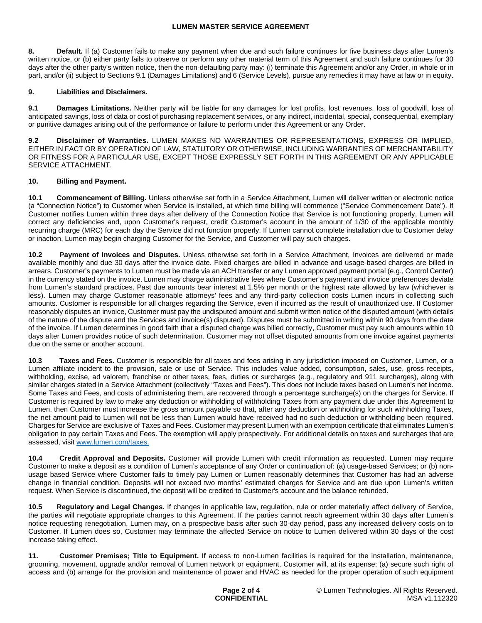**8. Default.** If (a) Customer fails to make any payment when due and such failure continues for five business days after Lumen's written notice, or (b) either party fails to observe or perform any other material term of this Agreement and such failure continues for 30 days after the other party's written notice, then the non-defaulting party may: (i) terminate this Agreement and/or any Order, in whole or in part, and/or (ii) subject to Sections 9.1 (Damages Limitations) and 6 (Service Levels), pursue any remedies it may have at law or in equity.

# **9. Liabilities and Disclaimers.**

**9.1 Damages Limitations.** Neither party will be liable for any damages for lost profits, lost revenues, loss of goodwill, loss of anticipated savings, loss of data or cost of purchasing replacement services, or any indirect, incidental, special, consequential, exemplary or punitive damages arising out of the performance or failure to perform under this Agreement or any Order.

**9.2 Disclaimer of Warranties.** LUMEN MAKES NO WARRANTIES OR REPRESENTATIONS, EXPRESS OR IMPLIED, EITHER IN FACT OR BY OPERATION OF LAW, STATUTORY OR OTHERWISE, INCLUDING WARRANTIES OF MERCHANTABILITY OR FITNESS FOR A PARTICULAR USE, EXCEPT THOSE EXPRESSLY SET FORTH IN THIS AGREEMENT OR ANY APPLICABLE SERVICE ATTACHMENT.

## **10. Billing and Payment.**

**10.1 Commencement of Billing.** Unless otherwise set forth in a Service Attachment, Lumen will deliver written or electronic notice (a "Connection Notice") to Customer when Service is installed, at which time billing will commence ("Service Commencement Date"). If Customer notifies Lumen within three days after delivery of the Connection Notice that Service is not functioning properly, Lumen will correct any deficiencies and, upon Customer's request, credit Customer's account in the amount of 1/30 of the applicable monthly recurring charge (MRC) for each day the Service did not function properly. If Lumen cannot complete installation due to Customer delay or inaction, Lumen may begin charging Customer for the Service, and Customer will pay such charges.

**10.2 Payment of Invoices and Disputes.** Unless otherwise set forth in a Service Attachment, Invoices are delivered or made available monthly and due 30 days after the invoice date. Fixed charges are billed in advance and usage-based charges are billed in arrears. Customer's payments to Lumen must be made via an ACH transfer or any Lumen approved payment portal (e.g., Control Center) in the currency stated on the invoice. Lumen may charge administrative fees where Customer's payment and invoice preferences deviate from Lumen's standard practices. Past due amounts bear interest at 1.5% per month or the highest rate allowed by law (whichever is less). Lumen may charge Customer reasonable attorneys' fees and any third-party collection costs Lumen incurs in collecting such amounts. Customer is responsible for all charges regarding the Service, even if incurred as the result of unauthorized use. If Customer reasonably disputes an invoice, Customer must pay the undisputed amount and submit written notice of the disputed amount (with details of the nature of the dispute and the Services and invoice(s) disputed). Disputes must be submitted in writing within 90 days from the date of the invoice. If Lumen determines in good faith that a disputed charge was billed correctly, Customer must pay such amounts within 10 days after Lumen provides notice of such determination. Customer may not offset disputed amounts from one invoice against payments due on the same or another account.

**10.3 Taxes and Fees.** Customer is responsible for all taxes and fees arising in any jurisdiction imposed on Customer, Lumen, or a Lumen affiliate incident to the provision, sale or use of Service. This includes value added, consumption, sales, use, gross receipts, withholding, excise, ad valorem, franchise or other taxes, fees, duties or surcharges (e.g., regulatory and 911 surcharges), along with similar charges stated in a Service Attachment (collectively "Taxes and Fees"). This does not include taxes based on Lumen's net income. Some Taxes and Fees, and costs of administering them, are recovered through a percentage surcharge(s) on the charges for Service. If Customer is required by law to make any deduction or withholding of withholding Taxes from any payment due under this Agreement to Lumen, then Customer must increase the gross amount payable so that, after any deduction or withholding for such withholding Taxes, the net amount paid to Lumen will not be less than Lumen would have received had no such deduction or withholding been required. Charges for Service are exclusive of Taxes and Fees. Customer may present Lumen with an exemption certificate that eliminates Lumen's obligation to pay certain Taxes and Fees. The exemption will apply prospectively. For additional details on taxes and surcharges that are assessed, visit [www.lumen.com/taxes](http://www.lumen.com/taxes).

**10.4 Credit Approval and Deposits.** Customer will provide Lumen with credit information as requested. Lumen may require Customer to make a deposit as a condition of Lumen's acceptance of any Order or continuation of: (a) usage-based Services; or (b) nonusage based Service where Customer fails to timely pay Lumen or Lumen reasonably determines that Customer has had an adverse change in financial condition. Deposits will not exceed two months' estimated charges for Service and are due upon Lumen's written request. When Service is discontinued, the deposit will be credited to Customer's account and the balance refunded.

**10.5 Regulatory and Legal Changes.** If changes in applicable law, regulation, rule or order materially affect delivery of Service, the parties will negotiate appropriate changes to this Agreement. If the parties cannot reach agreement within 30 days after Lumen's notice requesting renegotiation, Lumen may, on a prospective basis after such 30-day period, pass any increased delivery costs on to Customer. If Lumen does so, Customer may terminate the affected Service on notice to Lumen delivered within 30 days of the cost increase taking effect.

**11. Customer Premises; Title to Equipment.** If access to non-Lumen facilities is required for the installation, maintenance, grooming, movement, upgrade and/or removal of Lumen network or equipment, Customer will, at its expense: (a) secure such right of access and (b) arrange for the provision and maintenance of power and HVAC as needed for the proper operation of such equipment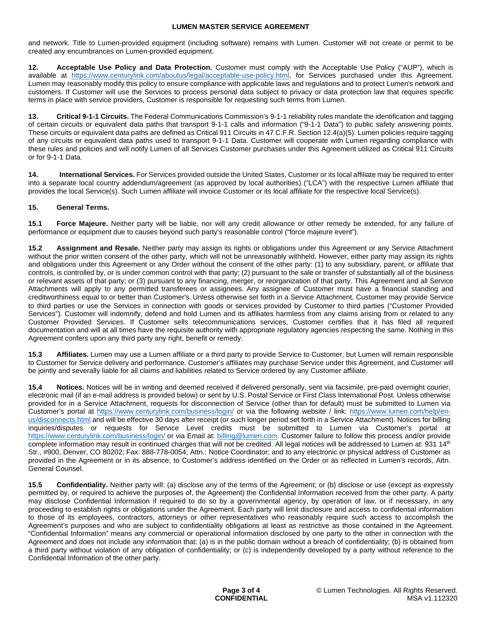and network. Title to Lumen-provided equipment (including software) remains with Lumen. Customer will not create or permit to be created any encumbrances on Lumen-provided equipment.

**12. Acceptable Use Policy and Data Protection.** Customer must comply with the Acceptable Use Policy ("AUP"), which is available at https://www.centurylink.com/aboutus/legal/acceptable-use-policy.html, for Services purchased under this Agreement. Lumen may reasonably modify this policy to ensure compliance with applicable laws and regulations and to protect Lumen's network and customers. If Customer will use the Services to process personal data subject to privacy or data protection law that requires specific terms in place with service providers, Customer is responsible for requesting such terms from Lumen.

**13. Critical 9-1-1 Circuits.** The Federal Communications Commission's 9-1-1 reliability rules mandate the identification and tagging of certain circuits or equivalent data paths that transport 9-1-1 calls and information ("9-1-1 Data") to public safety answering points. These circuits or equivalent data paths are defined as Critical 911 Circuits in 47 C.F.R. Section 12.4(a)(5). Lumen policies require tagging of any circuits or equivalent data paths used to transport 9-1-1 Data. Customer will cooperate with Lumen regarding compliance with these rules and policies and will notify Lumen of all Services Customer purchases under this Agreement utilized as Critical 911 Circuits or for 9-1-1 Data.

**14. International Services.** For Services provided outside the United States, Customer or its local affiliate may be required to enter into a separate local country addendum/agreement (as approved by local authorities) ("LCA") with the respective Lumen affiliate that provides the local Service(s). Such Lumen affiliate will invoice Customer or its local affiliate for the respective local Service(s).

# **15. General Terms.**

**15.1 Force Majeure.** Neither party will be liable, nor will any credit allowance or other remedy be extended, for any failure of performance or equipment due to causes beyond such party's reasonable control ("force majeure event").

**15.2 Assignment and Resale.** Neither party may assign its rights or obligations under this Agreement or any Service Attachment without the prior written consent of the other party, which will not be unreasonably withheld. However, either party may assign its rights and obligations under this Agreement or any Order without the consent of the other party: (1) to any subsidiary, parent, or affiliate that controls, is controlled by, or is under common control with that party; (2) pursuant to the sale or transfer of substantially all of the business or relevant assets of that party; or (3) pursuant to any financing, merger, or reorganization of that party. This Agreement and all Service Attachments will apply to any permitted transferees or assignees. Any assignee of Customer must have a financial standing and creditworthiness equal to or better than Customer's. Unless otherwise set forth in a Service Attachment, Customer may provide Service to third parties or use the Services in connection with goods or services provided by Customer to third parties ("Customer Provided Services"). Customer will indemnify, defend and hold Lumen and its affiliates harmless from any claims arising from or related to any Customer Provided Services. If Customer sells telecommunications services, Customer certifies that it has filed all required documentation and will at all times have the requisite authority with appropriate regulatory agencies respecting the same. Nothing in this Agreement confers upon any third party any right, benefit or remedy.

**15.3 Affiliates.** Lumen may use a Lumen affiliate or a third party to provide Service to Customer, but Lumen will remain responsible to Customer for Service delivery and performance. Customer's affiliates may purchase Service under this Agreement, and Customer will be jointly and severally liable for all claims and liabilities related to Service ordered by any Customer affiliate.

**15.4 Notices.** Notices will be in writing and deemed received if delivered personally, sent via facsimile, pre-paid overnight courier, electronic mail (if an e-mail address is provided below) or sent by U.S. Postal Service or First Class International Post. Unless otherwise provided for in a Service Attachment, requests for disconnection of Service (other than for default) must be submitted to Lumen via Customer's portal at <https://www.centurylink.com/business/login/> or via the following website / link: [https://www.lumen.com/help/en](https://www.lumen.com/help/en-us/disconnects.html)[us/disconnects.html and will be effective 30 days after receipt \(or such longer period set forth in a Service Attachment\). Notices for billing](https://www.lumen.com/help/en-us/disconnects.html)  inquiries/disputes or requests for Service Level credits must be submitted to Lumen via Customer's portal at <https://www.centurylink.com/business/login/>or via Email at: [billing@lumen.com](mailto:billing@lumen.com). Customer failure to follow this process and/or provide complete information may result in continued charges that will not be credited. All legal notices will be addressed to Lumen at: 931 14<sup>th</sup> Str., #900, Denver, CO 80202; Fax: 888-778-0054; Attn.: Notice Coordinator; and to any electronic or physical address of Customer as provided in the Agreement or in its absence, to Customer's address identified on the Order or as reflected in Lumen's records, Attn. General Counsel.

**15.5 Confidentiality.** Neither party will: (a) disclose any of the terms of the Agreement; or (b) disclose or use (except as expressly permitted by, or required to achieve the purposes of, the Agreement) the Confidential Information received from the other party. A party may disclose Confidential Information if required to do so by a governmental agency, by operation of law, or if necessary, in any proceeding to establish rights or obligations under the Agreement. Each party will limit disclosure and access to confidential information to those of its employees, contractors, attorneys or other representatives who reasonably require such access to accomplish the Agreement's purposes and who are subject to confidentiality obligations at least as restrictive as those contained in the Agreement. "Confidential Information" means any commercial or operational information disclosed by one party to the other in connection with the Agreement and does not include any information that: (a) is in the public domain without a breach of confidentiality; (b) is obtained from a third party without violation of any obligation of confidentiality; or (c) is independently developed by a party without reference to the Confidential Information of the other party.